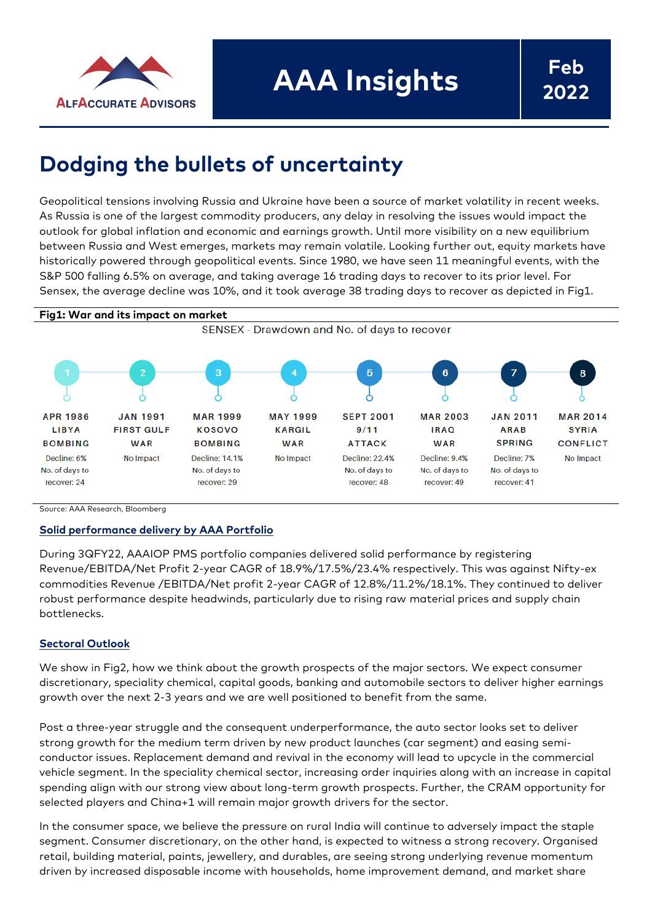

# **Dodging the bullets of uncertainty**

Geopolitical tensions involving Russia and Ukraine have been a source of market volatility in recent weeks. As Russia is one of the largest commodity producers, any delay in resolving the issues would impact the outlook for global inflation and economic and earnings growth. Until more visibility on a new equilibrium between Russia and West emerges, markets may remain volatile. Looking further out, equity markets have historically powered through geopolitical events. Since 1980, we have seen 11 meaningful events, with the S&P 500 falling 6.5% on average, and taking average 16 trading days to recover to its prior level. For Sensex, the average decline was 10%, and it took average 38 trading days to recover as depicted in Fig1.



Source: AAA Research, Bloomberg

### **Solid performance delivery by AAA Portfolio**

During 3QFY22, AAAIOP PMS portfolio companies delivered solid performance by registering Revenue/EBITDA/Net Profit 2-year CAGR of 18.9%/17.5%/23.4% respectively. This was against Nifty-ex commodities Revenue /EBITDA/Net profit 2-year CAGR of 12.8%/11.2%/18.1%. They continued to deliver robust performance despite headwinds, particularly due to rising raw material prices and supply chain bottlenecks.

### **Sectoral Outlook**

We show in Fig2, how we think about the growth prospects of the major sectors. We expect consumer discretionary, speciality chemical, capital goods, banking and automobile sectors to deliver higher earnings growth over the next 2-3 years and we are well positioned to benefit from the same.

Post a three-year struggle and the consequent underperformance, the auto sector looks set to deliver strong growth for the medium term driven by new product launches (car segment) and easing semiconductor issues. Replacement demand and revival in the economy will lead to upcycle in the commercial vehicle segment. In the speciality chemical sector, increasing order inquiries along with an increase in capital spending align with our strong view about long-term growth prospects. Further, the CRAM opportunity for selected players and China+1 will remain major growth drivers for the sector.

In the consumer space, we believe the pressure on rural India will continue to adversely impact the staple segment. Consumer discretionary, on the other hand, is expected to witness a strong recovery. Organised retail, building material, paints, jewellery, and durables, are seeing strong underlying revenue momentum driven by increased disposable income with households, home improvement demand, and market share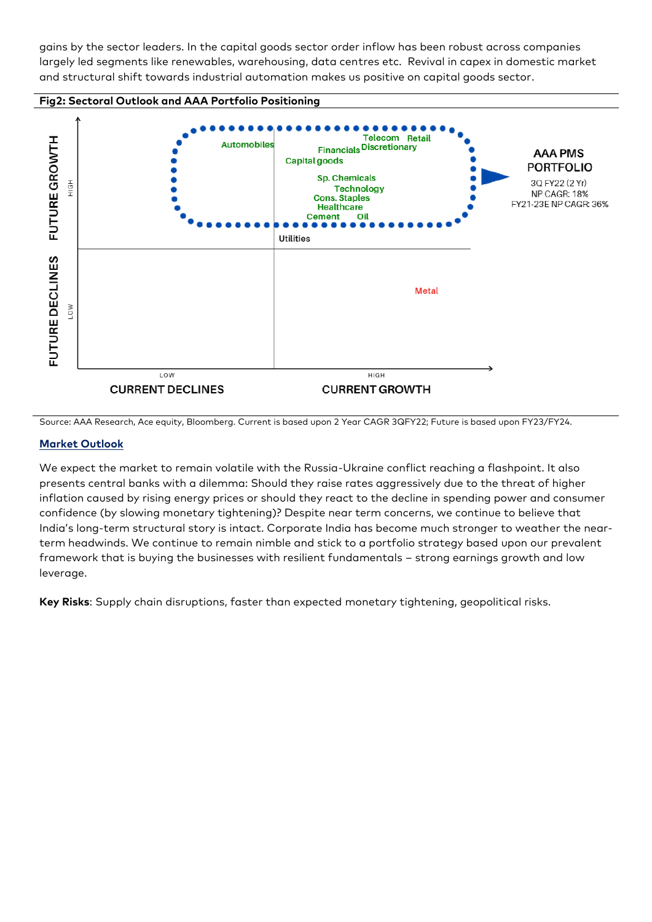gains by the sector leaders. In the capital goods sector order inflow has been robust across companies largely led segments like renewables, warehousing, data centres etc. Revival in capex in domestic market and structural shift towards industrial automation makes us positive on capital goods sector.



Source: AAA Research, Ace equity, Bloomberg. Current is based upon 2 Year CAGR 3QFY22; Future is based upon FY23/FY24.

## **Market Outlook**

We expect the market to remain volatile with the Russia-Ukraine conflict reaching a flashpoint. It also presents central banks with a dilemma: Should they raise rates aggressively due to the threat of higher inflation caused by rising energy prices or should they react to the decline in spending power and consumer confidence (by slowing monetary tightening)? Despite near term concerns, we continue to believe that India's long-term structural story is intact. Corporate India has become much stronger to weather the nearterm headwinds. We continue to remain nimble and stick to a portfolio strategy based upon our prevalent framework that is buying the businesses with resilient fundamentals – strong earnings growth and low leverage.

**Key Risks**: Supply chain disruptions, faster than expected monetary tightening, geopolitical risks.